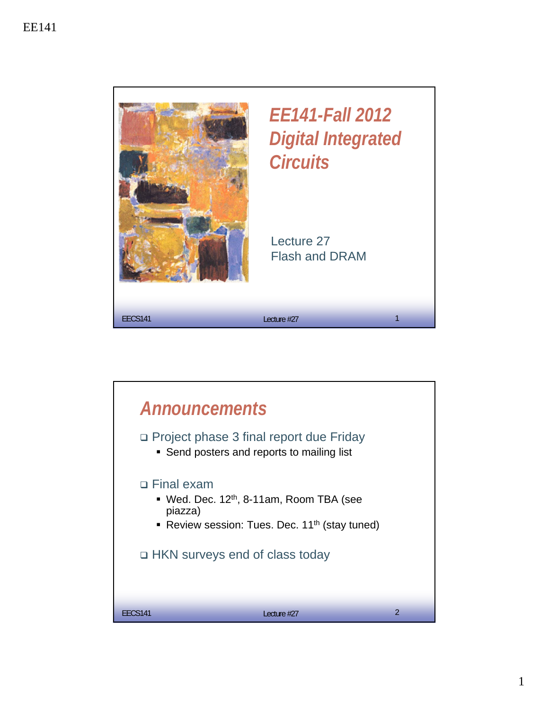



1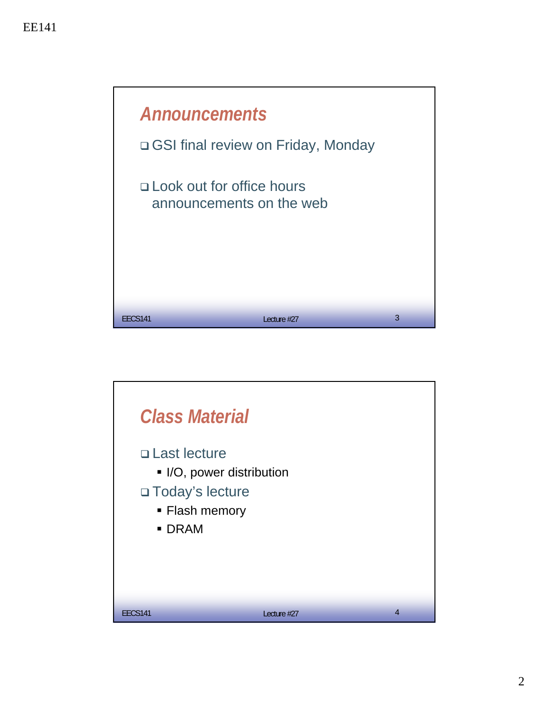

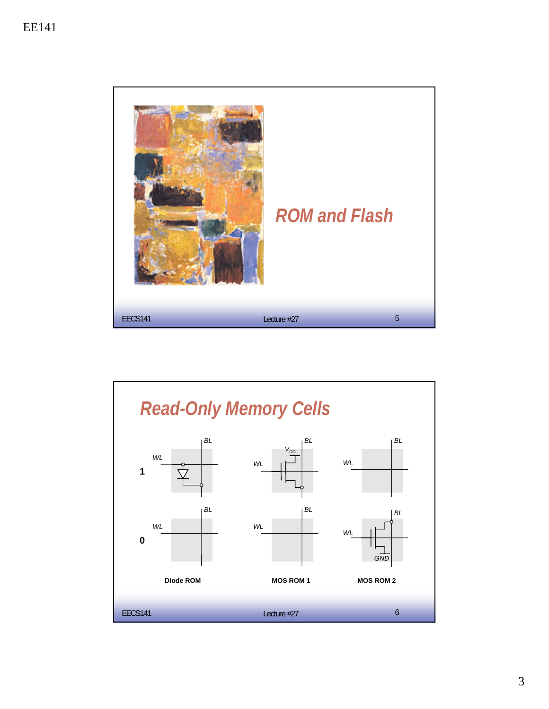

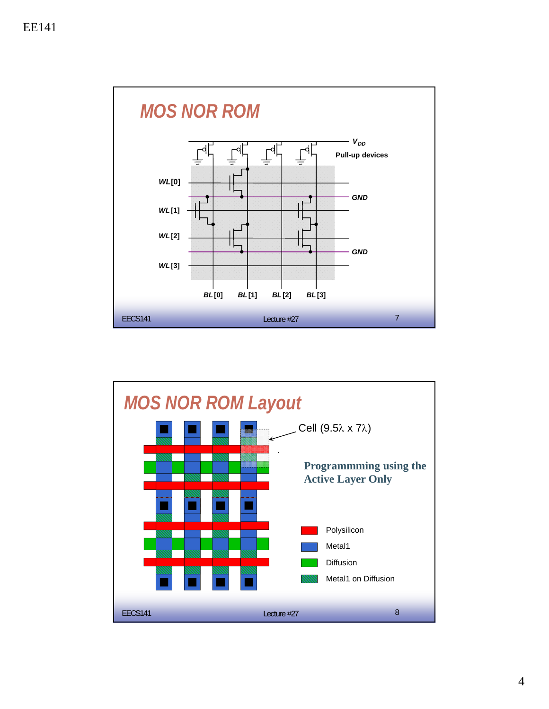

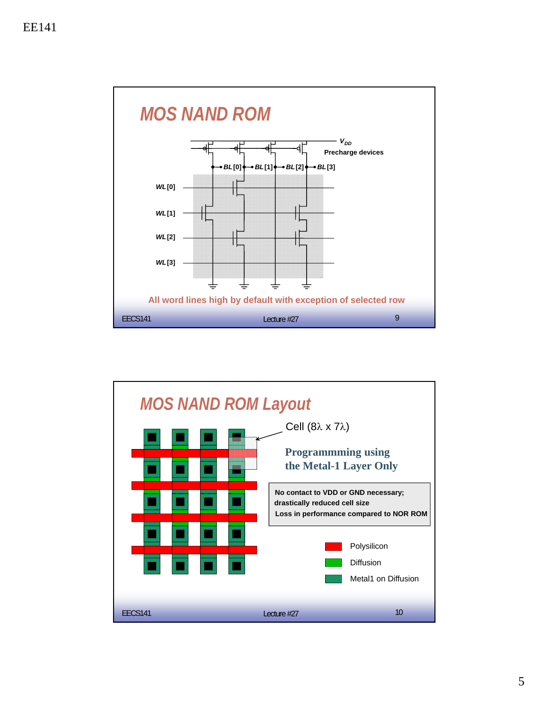

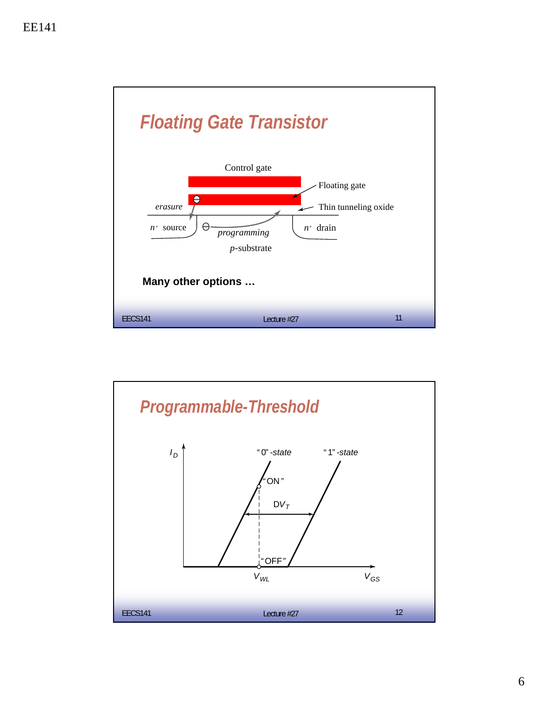

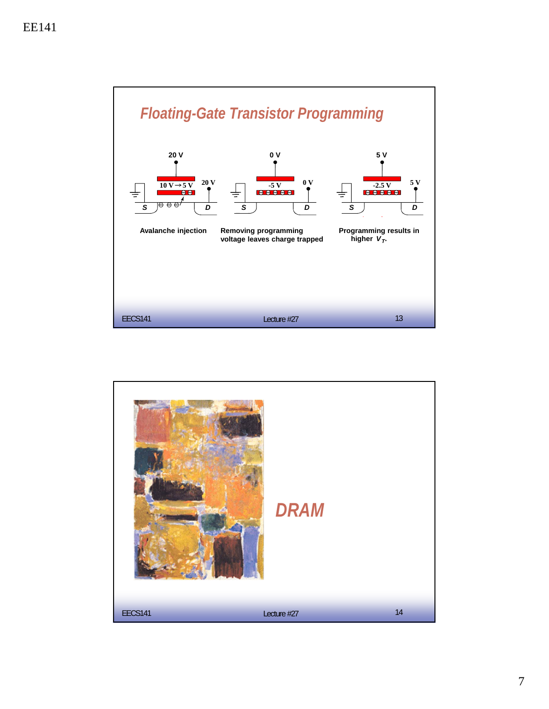

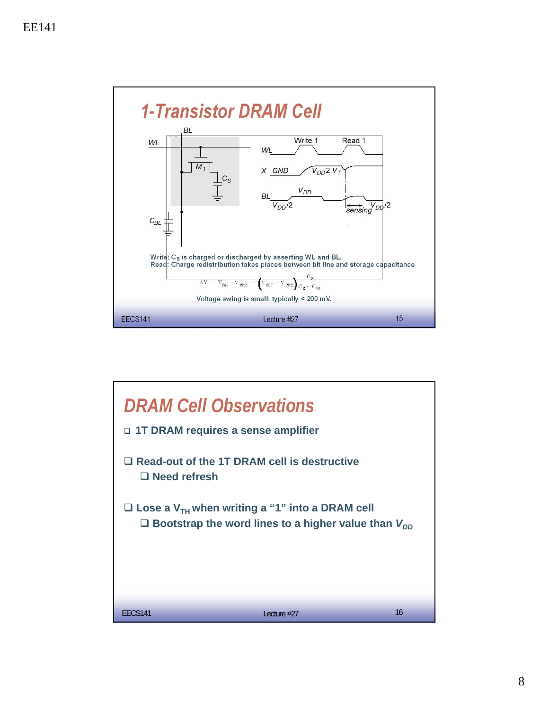

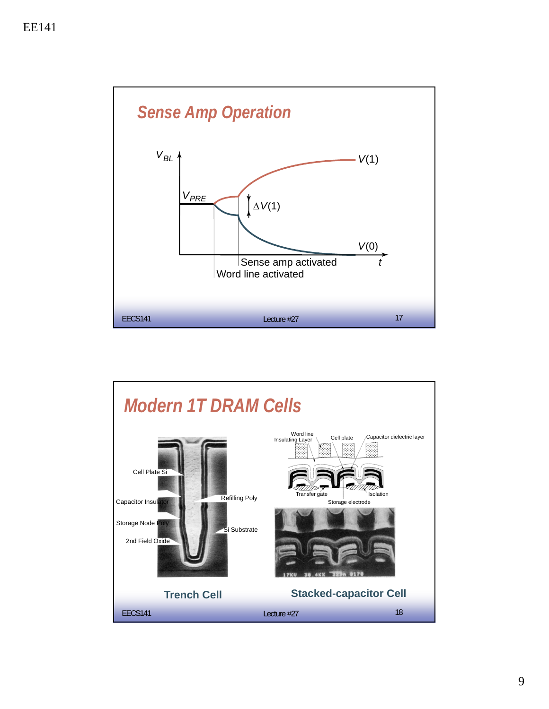